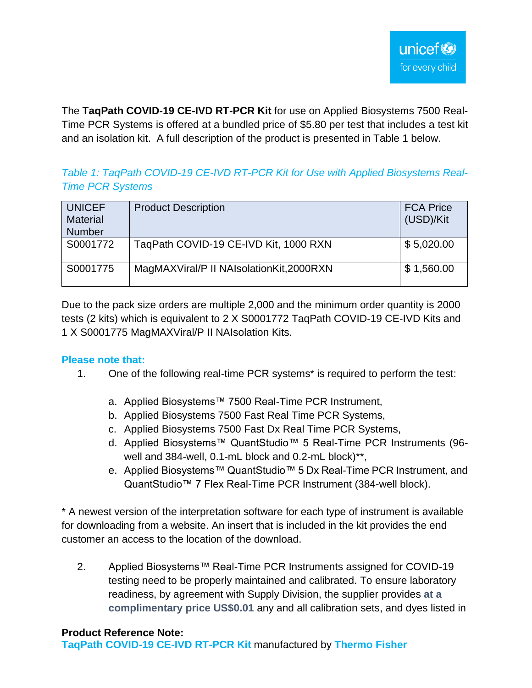The **TaqPath COVID-19 CE-IVD RT-PCR Kit** for use on Applied Biosystems 7500 Real-Time PCR Systems is offered at a bundled price of \$5.80 per test that includes a test kit and an isolation kit. A full description of the product is presented in Table 1 below.

# *Table 1: TaqPath COVID-19 CE-IVD RT-PCR Kit for Use with Applied Biosystems Real-Time PCR Systems*

| <b>UNICEF</b><br><b>Material</b><br><b>Number</b> | <b>Product Description</b>               | <b>FCA Price</b><br>(USD)/Kit |
|---------------------------------------------------|------------------------------------------|-------------------------------|
| S0001772                                          | TaqPath COVID-19 CE-IVD Kit, 1000 RXN    | \$5,020.00                    |
| S0001775                                          | MagMAXViral/P II NAIsolationKit, 2000RXN | \$1,560.00                    |

Due to the pack size orders are multiple 2,000 and the minimum order quantity is 2000 tests (2 kits) which is equivalent to 2 X S0001772 TaqPath COVID-19 CE-IVD Kits and 1 X S0001775 MagMAXViral/P II NAIsolation Kits.

## **Please note that:**

- 1. One of the following real-time PCR systems\* is required to perform the test:
	- a. Applied Biosystems™ 7500 Real-Time PCR Instrument,
	- b. Applied Biosystems 7500 Fast Real Time PCR Systems,
	- c. Applied Biosystems 7500 Fast Dx Real Time PCR Systems,
	- d. Applied Biosystems™ QuantStudio™ 5 Real-Time PCR Instruments (96 well and 384-well, 0.1-mL block and 0.2-mL block)\*\*,
	- e. Applied Biosystems™ QuantStudio™ 5 Dx Real-Time PCR Instrument, and QuantStudio™ 7 Flex Real-Time PCR Instrument (384-well block).

\* A newest version of the interpretation software for each type of instrument is available for downloading from a website. An insert that is included in the kit provides the end customer an access to the location of the download.

2. Applied Biosystems™ Real-Time PCR Instruments assigned for COVID-19 testing need to be properly maintained and calibrated. To ensure laboratory readiness, by agreement with Supply Division, the supplier provides **at a complimentary price US\$0.01** any and all calibration sets, and dyes listed in

#### **Product Reference Note:**

**TaqPath COVID-19 CE-IVD RT-PCR Kit** manufactured by **Thermo Fisher**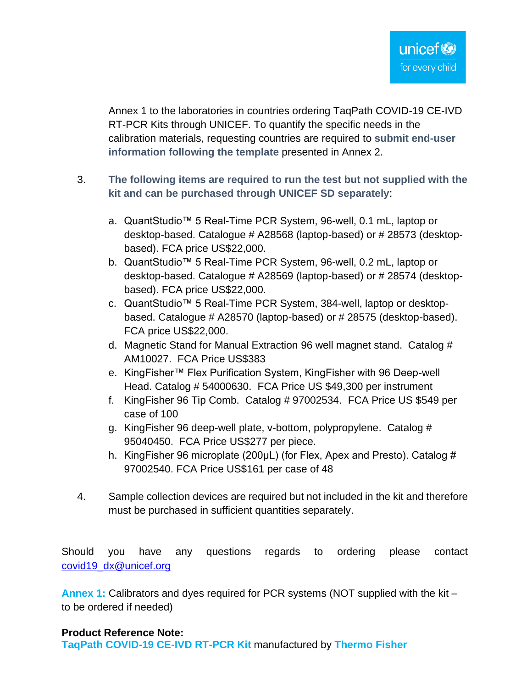Annex 1 to the laboratories in countries ordering TaqPath COVID-19 CE-IVD RT-PCR Kits through UNICEF. To quantify the specific needs in the calibration materials, requesting countries are required to **submit end-user information following the template** presented in Annex 2.

- 3. **The following items are required to run the test but not supplied with the kit and can be purchased through UNICEF SD separately**:
	- a. QuantStudio™ 5 Real-Time PCR System, 96-well, 0.1 mL, laptop or desktop-based. Catalogue # A28568 (laptop-based) or # 28573 (desktopbased). FCA price US\$22,000.
	- b. QuantStudio™ 5 Real-Time PCR System, 96-well, 0.2 mL, laptop or desktop-based. Catalogue # A28569 (laptop-based) or # 28574 (desktopbased). FCA price US\$22,000.
	- c. QuantStudio™ 5 Real-Time PCR System, 384-well, laptop or desktopbased. Catalogue # A28570 (laptop-based) or # 28575 (desktop-based). FCA price US\$22,000.
	- d. Magnetic Stand for Manual Extraction 96 well magnet stand. Catalog # AM10027. FCA Price US\$383
	- e. KingFisher™ Flex Purification System, KingFisher with 96 Deep-well Head. Catalog # 54000630. FCA Price US \$49,300 per instrument
	- f. KingFisher 96 Tip Comb. Catalog # 97002534. FCA Price US \$549 per case of 100
	- g. KingFisher 96 deep-well plate, v-bottom, polypropylene. Catalog # 95040450. FCA Price US\$277 per piece.
	- h. King Fisher 96 microplate (200µL) (for Flex, Apex and Presto). Catalog # 97002540. FCA Price US\$161 per case of 48
- 4. Sample collection devices are required but not included in the kit and therefore must be purchased in sufficient quantities separately.

Should you have any questions regards to ordering please contact [covid19\\_dx@unicef.org](mailto:covid19_dx@unicef.org)

**Annex 1:** Calibrators and dyes required for PCR systems (NOT supplied with the kit – to be ordered if needed)

### **Product Reference Note:**

**TaqPath COVID-19 CE-IVD RT-PCR Kit** manufactured by **Thermo Fisher**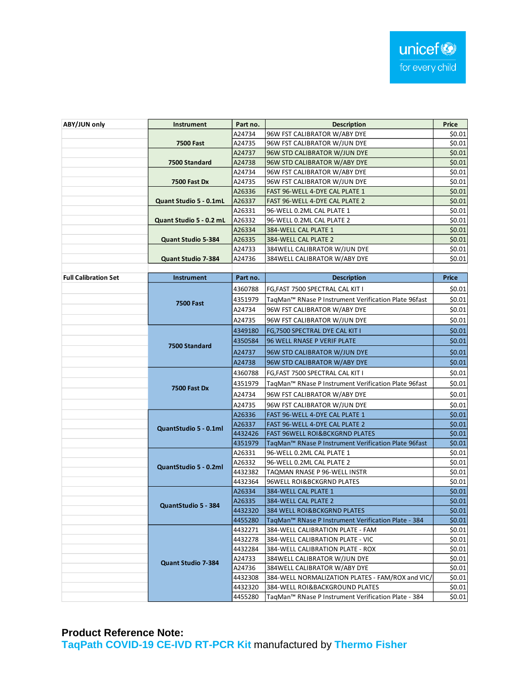| ABY/JUN only                | Instrument                | Part no.                                                        | <b>Description</b>                                              | Price        |  |  |
|-----------------------------|---------------------------|-----------------------------------------------------------------|-----------------------------------------------------------------|--------------|--|--|
|                             |                           | A24734                                                          | 96W FST CALIBRATOR W/ABY DYE                                    | \$0.01       |  |  |
|                             | <b>7500 Fast</b>          | A24735                                                          | 96W FST CALIBRATOR W/JUN DYE                                    | \$0.01       |  |  |
|                             |                           | A24737                                                          | 96W STD CALIBRATOR W/JUN DYE                                    | \$0.01       |  |  |
|                             | 7500 Standard             | A24738                                                          | 96W STD CALIBRATOR W/ABY DYE                                    | \$0.01       |  |  |
|                             |                           | A24734                                                          | 96W FST CALIBRATOR W/ABY DYE                                    | \$0.01       |  |  |
|                             | 7500 Fast Dx              | A24735                                                          | 96W FST CALIBRATOR W/JUN DYE                                    | \$0.01       |  |  |
|                             |                           | A26336                                                          | FAST 96-WELL 4-DYE CAL PLATE 1                                  | \$0.01       |  |  |
|                             | Quant Studio 5 - 0.1mL    | A26337                                                          | FAST 96-WELL 4-DYE CAL PLATE 2                                  |              |  |  |
|                             |                           | A26331                                                          | 96-WELL 0.2ML CAL PLATE 1                                       |              |  |  |
|                             | Quant Studio 5 - 0.2 mL   | A26332                                                          | 96-WELL 0.2ML CAL PLATE 2                                       | \$0.01       |  |  |
|                             |                           | A26334                                                          | 384-WELL CAL PLATE 1                                            |              |  |  |
|                             | <b>Quant Studio 5-384</b> | A26335                                                          | 384-WELL CAL PLATE 2                                            | \$0.01       |  |  |
|                             |                           | A24733                                                          | \$0.01                                                          |              |  |  |
|                             | <b>Quant Studio 7-384</b> | A24736                                                          | 384WELL CALIBRATOR W/ABY DYE                                    | \$0.01       |  |  |
|                             |                           |                                                                 |                                                                 |              |  |  |
| <b>Full Calibration Set</b> | Instrument                | Part no.                                                        | <b>Description</b>                                              | <b>Price</b> |  |  |
|                             |                           | 4360788                                                         | FG, FAST 7500 SPECTRAL CAL KIT I                                | \$0.01       |  |  |
|                             | <b>7500 Fast</b>          | 4351979                                                         | TaqMan™ RNase P Instrument Verification Plate 96fast            |              |  |  |
|                             |                           | A24734                                                          | 96W FST CALIBRATOR W/ABY DYE                                    |              |  |  |
|                             |                           | A24735                                                          | 96W FST CALIBRATOR W/JUN DYE                                    | \$0.01       |  |  |
|                             |                           | 4349180                                                         | FG,7500 SPECTRAL DYE CAL KIT I                                  | \$0.01       |  |  |
|                             |                           | 4350584<br>96 WELL RNASE P VERIF PLATE                          |                                                                 | \$0.01       |  |  |
|                             | 7500 Standard             | A24737                                                          | 96W STD CALIBRATOR W/JUN DYE                                    | \$0.01       |  |  |
|                             |                           | A24738                                                          | 96W STD CALIBRATOR W/ABY DYE                                    | \$0.01       |  |  |
|                             |                           | 4360788                                                         | FG, FAST 7500 SPECTRAL CAL KIT I                                | \$0.01       |  |  |
|                             |                           | 4351979<br>TaqMan™ RNase P Instrument Verification Plate 96fast |                                                                 | \$0.01       |  |  |
|                             | <b>7500 Fast Dx</b>       | A24734                                                          | 96W FST CALIBRATOR W/ABY DYE                                    | \$0.01       |  |  |
|                             |                           | A24735                                                          | 96W FST CALIBRATOR W/JUN DYE                                    | \$0.01       |  |  |
|                             |                           | A26336                                                          | FAST 96-WELL 4-DYE CAL PLATE 1                                  | \$0.01       |  |  |
|                             |                           | A26337                                                          | FAST 96-WELL 4-DYE CAL PLATE 2                                  | \$0.01       |  |  |
|                             | QuantStudio 5 - 0.1ml     | 4432426                                                         | FAST 96WELL ROI&BCKGRND PLATES                                  | \$0.01       |  |  |
|                             |                           | 4351979                                                         | TaqMan™ RNase P Instrument Verification Plate 96fast            | \$0.01       |  |  |
|                             |                           | A26331                                                          | 96-WELL 0.2ML CAL PLATE 1                                       | \$0.01       |  |  |
|                             |                           | A26332                                                          | 96-WELL 0.2ML CAL PLATE 2                                       | \$0.01       |  |  |
|                             | QuantStudio 5 - 0.2ml     | 4432382                                                         | TAQMAN RNASE P 96-WELL INSTR                                    | \$0.01       |  |  |
|                             |                           | 4432364                                                         | 96WELL ROI&BCKGRND PLATES                                       | \$0.01       |  |  |
|                             |                           | A26334                                                          | 384-WELL CAL PLATE 1                                            | \$0.01       |  |  |
|                             | QuantStudio 5 - 384       | A26335                                                          | 384-WELL CAL PLATE 2                                            | \$0.01       |  |  |
|                             |                           | 4432320                                                         | 384 WELL ROI&BCKGRND PLATES                                     | \$0.01       |  |  |
|                             |                           | 4455280                                                         | TaqMan <sup>™</sup> RNase P Instrument Verification Plate - 384 | \$0.01       |  |  |
|                             |                           | 4432271                                                         | 384-WELL CALIBRATION PLATE - FAM                                | \$0.01       |  |  |
|                             |                           | 4432278                                                         | 384-WELL CALIBRATION PLATE - VIC                                | \$0.01       |  |  |
|                             |                           | 4432284                                                         | 384-WELL CALIBRATION PLATE - ROX                                | \$0.01       |  |  |
|                             | <b>Quant Studio 7-384</b> | A24733                                                          | 384WELL CALIBRATOR W/JUN DYE                                    | \$0.01       |  |  |
|                             |                           | A24736                                                          | 384WELL CALIBRATOR W/ABY DYE                                    | \$0.01       |  |  |
|                             |                           | 4432308                                                         | 384-WELL NORMALIZATION PLATES - FAM/ROX and VIC/                | \$0.01       |  |  |
|                             |                           | 4432320                                                         | 384-WELL ROI&BACKGROUND PLATES                                  | \$0.01       |  |  |
|                             |                           | 4455280                                                         | TagMan <sup>™</sup> RNase P Instrument Verification Plate - 384 | \$0.01       |  |  |